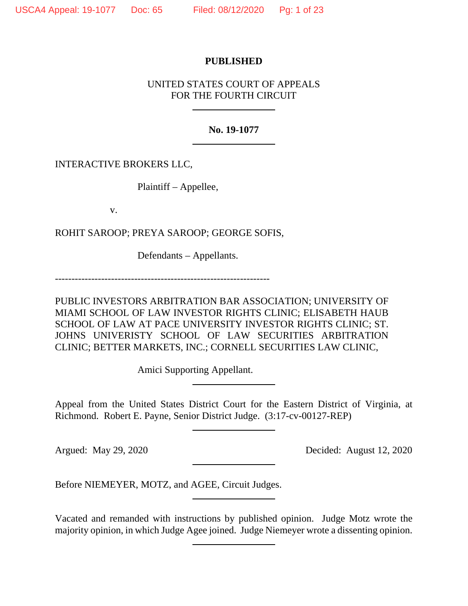# **PUBLISHED**

# UNITED STATES COURT OF APPEALS FOR THE FOURTH CIRCUIT

## **No. 19-1077**

INTERACTIVE BROKERS LLC,

Plaintiff – Appellee,

v.

ROHIT SAROOP; PREYA SAROOP; GEORGE SOFIS,

Defendants – Appellants.

-----------------------------------------------------------------

PUBLIC INVESTORS ARBITRATION BAR ASSOCIATION; UNIVERSITY OF MIAMI SCHOOL OF LAW INVESTOR RIGHTS CLINIC; ELISABETH HAUB SCHOOL OF LAW AT PACE UNIVERSITY INVESTOR RIGHTS CLINIC; ST. JOHNS UNIVERISTY SCHOOL OF LAW SECURITIES ARBITRATION CLINIC; BETTER MARKETS, INC.; CORNELL SECURITIES LAW CLINIC,

Amici Supporting Appellant.

Appeal from the United States District Court for the Eastern District of Virginia, at Richmond. Robert E. Payne, Senior District Judge. (3:17-cv-00127-REP)

Argued: May 29, 2020 Decided: August 12, 2020

Before NIEMEYER, MOTZ, and AGEE, Circuit Judges.

Vacated and remanded with instructions by published opinion. Judge Motz wrote the majority opinion, in which Judge Agee joined. Judge Niemeyer wrote a dissenting opinion.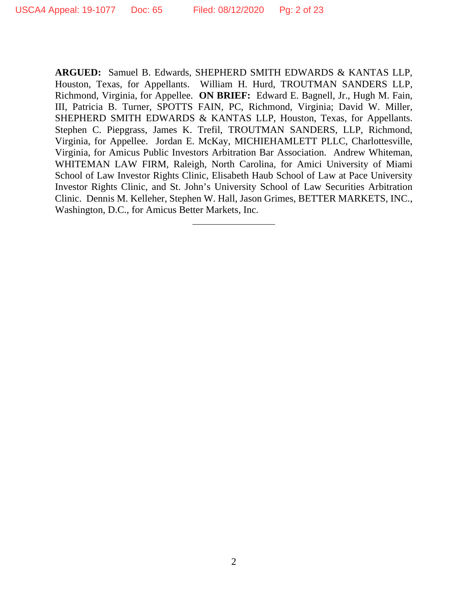**ARGUED:** Samuel B. Edwards, SHEPHERD SMITH EDWARDS & KANTAS LLP, Houston, Texas, for Appellants. William H. Hurd, TROUTMAN SANDERS LLP, Richmond, Virginia, for Appellee. **ON BRIEF:** Edward E. Bagnell, Jr., Hugh M. Fain, III, Patricia B. Turner, SPOTTS FAIN, PC, Richmond, Virginia; David W. Miller, SHEPHERD SMITH EDWARDS & KANTAS LLP, Houston, Texas, for Appellants. Stephen C. Piepgrass, James K. Trefil, TROUTMAN SANDERS, LLP, Richmond, Virginia, for Appellee. Jordan E. McKay, MICHIEHAMLETT PLLC, Charlottesville, Virginia, for Amicus Public Investors Arbitration Bar Association. Andrew Whiteman, WHITEMAN LAW FIRM, Raleigh, North Carolina, for Amici University of Miami School of Law Investor Rights Clinic, Elisabeth Haub School of Law at Pace University Investor Rights Clinic, and St. John's University School of Law Securities Arbitration Clinic. Dennis M. Kelleher, Stephen W. Hall, Jason Grimes, BETTER MARKETS, INC., Washington, D.C., for Amicus Better Markets, Inc.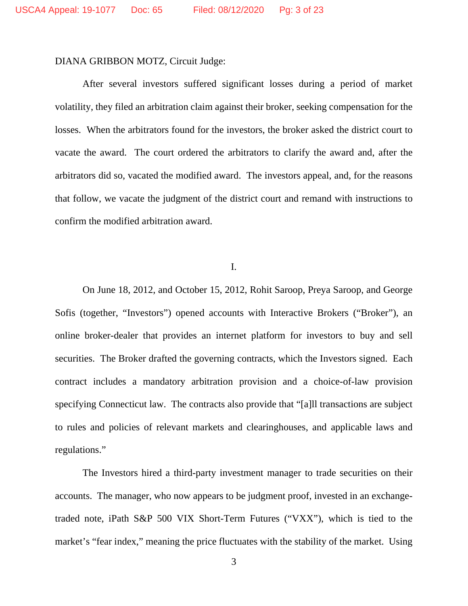#### DIANA GRIBBON MOTZ, Circuit Judge:

After several investors suffered significant losses during a period of market volatility, they filed an arbitration claim against their broker, seeking compensation for the losses. When the arbitrators found for the investors, the broker asked the district court to vacate the award. The court ordered the arbitrators to clarify the award and, after the arbitrators did so, vacated the modified award. The investors appeal, and, for the reasons that follow, we vacate the judgment of the district court and remand with instructions to confirm the modified arbitration award.

I.

On June 18, 2012, and October 15, 2012, Rohit Saroop, Preya Saroop, and George Sofis (together, "Investors") opened accounts with Interactive Brokers ("Broker"), an online broker-dealer that provides an internet platform for investors to buy and sell securities. The Broker drafted the governing contracts, which the Investors signed. Each contract includes a mandatory arbitration provision and a choice-of-law provision specifying Connecticut law. The contracts also provide that "[a]ll transactions are subject to rules and policies of relevant markets and clearinghouses, and applicable laws and regulations."

The Investors hired a third-party investment manager to trade securities on their accounts. The manager, who now appears to be judgment proof, invested in an exchangetraded note, iPath S&P 500 VIX Short-Term Futures ("VXX"), which is tied to the market's "fear index," meaning the price fluctuates with the stability of the market. Using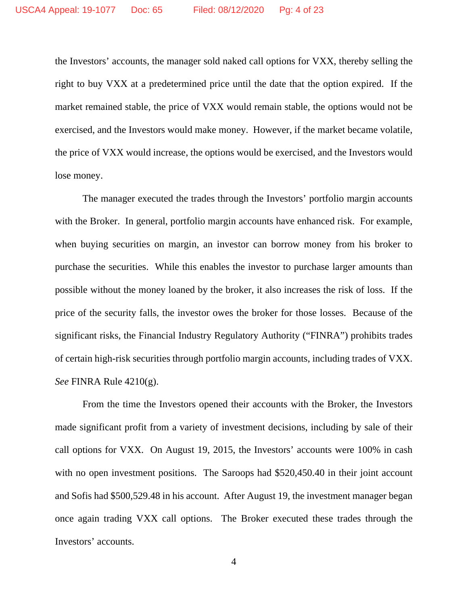the Investors' accounts, the manager sold naked call options for VXX, thereby selling the right to buy VXX at a predetermined price until the date that the option expired. If the market remained stable, the price of VXX would remain stable, the options would not be exercised, and the Investors would make money. However, if the market became volatile, the price of VXX would increase, the options would be exercised, and the Investors would lose money.

The manager executed the trades through the Investors' portfolio margin accounts with the Broker. In general, portfolio margin accounts have enhanced risk. For example, when buying securities on margin, an investor can borrow money from his broker to purchase the securities. While this enables the investor to purchase larger amounts than possible without the money loaned by the broker, it also increases the risk of loss. If the price of the security falls, the investor owes the broker for those losses. Because of the significant risks, the Financial Industry Regulatory Authority ("FINRA") prohibits trades of certain high-risk securities through portfolio margin accounts, including trades of VXX. *See* FINRA Rule 4210(g).

From the time the Investors opened their accounts with the Broker, the Investors made significant profit from a variety of investment decisions, including by sale of their call options for VXX. On August 19, 2015, the Investors' accounts were 100% in cash with no open investment positions. The Saroops had \$520,450.40 in their joint account and Sofis had \$500,529.48 in his account. After August 19, the investment manager began once again trading VXX call options. The Broker executed these trades through the Investors' accounts.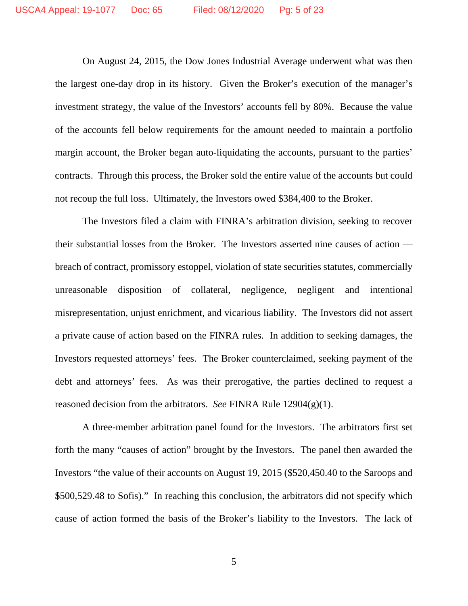On August 24, 2015, the Dow Jones Industrial Average underwent what was then the largest one-day drop in its history. Given the Broker's execution of the manager's investment strategy, the value of the Investors' accounts fell by 80%. Because the value of the accounts fell below requirements for the amount needed to maintain a portfolio margin account, the Broker began auto-liquidating the accounts, pursuant to the parties' contracts. Through this process, the Broker sold the entire value of the accounts but could not recoup the full loss. Ultimately, the Investors owed \$384,400 to the Broker.

The Investors filed a claim with FINRA's arbitration division, seeking to recover their substantial losses from the Broker. The Investors asserted nine causes of action breach of contract, promissory estoppel, violation of state securities statutes, commercially unreasonable disposition of collateral, negligence, negligent and intentional misrepresentation, unjust enrichment, and vicarious liability. The Investors did not assert a private cause of action based on the FINRA rules. In addition to seeking damages, the Investors requested attorneys' fees. The Broker counterclaimed, seeking payment of the debt and attorneys' fees. As was their prerogative, the parties declined to request a reasoned decision from the arbitrators. *See* FINRA Rule 12904(g)(1).

A three-member arbitration panel found for the Investors. The arbitrators first set forth the many "causes of action" brought by the Investors. The panel then awarded the Investors "the value of their accounts on August 19, 2015 (\$520,450.40 to the Saroops and \$500,529.48 to Sofis)." In reaching this conclusion, the arbitrators did not specify which cause of action formed the basis of the Broker's liability to the Investors. The lack of

5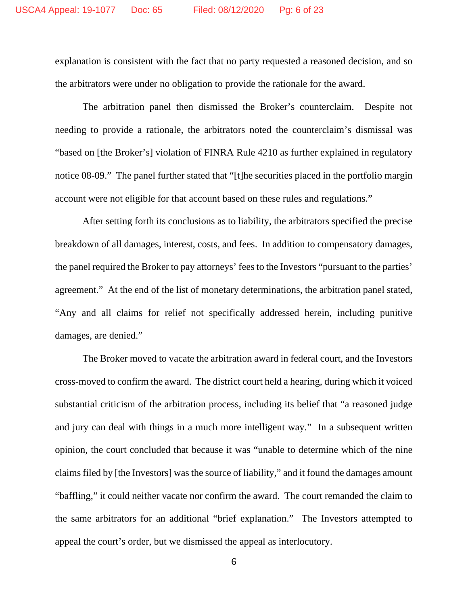explanation is consistent with the fact that no party requested a reasoned decision, and so the arbitrators were under no obligation to provide the rationale for the award.

The arbitration panel then dismissed the Broker's counterclaim. Despite not needing to provide a rationale, the arbitrators noted the counterclaim's dismissal was "based on [the Broker's] violation of FINRA Rule 4210 as further explained in regulatory notice 08-09." The panel further stated that "[t]he securities placed in the portfolio margin account were not eligible for that account based on these rules and regulations."

After setting forth its conclusions as to liability, the arbitrators specified the precise breakdown of all damages, interest, costs, and fees. In addition to compensatory damages, the panel required the Broker to pay attorneys' fees to the Investors "pursuant to the parties' agreement." At the end of the list of monetary determinations, the arbitration panel stated, "Any and all claims for relief not specifically addressed herein, including punitive damages, are denied."

The Broker moved to vacate the arbitration award in federal court, and the Investors cross-moved to confirm the award. The district court held a hearing, during which it voiced substantial criticism of the arbitration process, including its belief that "a reasoned judge and jury can deal with things in a much more intelligent way." In a subsequent written opinion, the court concluded that because it was "unable to determine which of the nine claims filed by [the Investors] was the source of liability," and it found the damages amount "baffling," it could neither vacate nor confirm the award. The court remanded the claim to the same arbitrators for an additional "brief explanation." The Investors attempted to appeal the court's order, but we dismissed the appeal as interlocutory.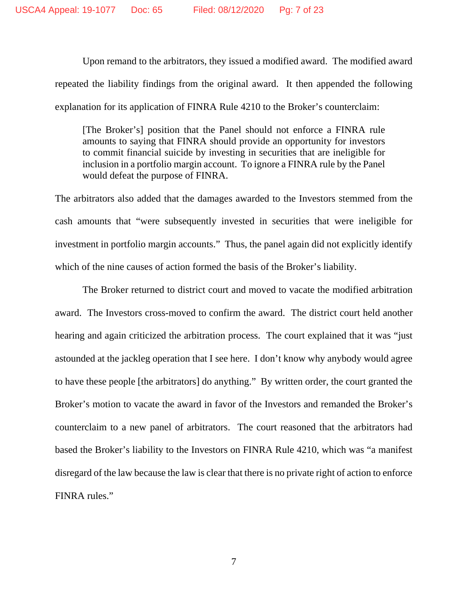Upon remand to the arbitrators, they issued a modified award. The modified award repeated the liability findings from the original award. It then appended the following explanation for its application of FINRA Rule 4210 to the Broker's counterclaim:

[The Broker's] position that the Panel should not enforce a FINRA rule amounts to saying that FINRA should provide an opportunity for investors to commit financial suicide by investing in securities that are ineligible for inclusion in a portfolio margin account. To ignore a FINRA rule by the Panel would defeat the purpose of FINRA.

The arbitrators also added that the damages awarded to the Investors stemmed from the cash amounts that "were subsequently invested in securities that were ineligible for investment in portfolio margin accounts." Thus, the panel again did not explicitly identify which of the nine causes of action formed the basis of the Broker's liability.

The Broker returned to district court and moved to vacate the modified arbitration award. The Investors cross-moved to confirm the award. The district court held another hearing and again criticized the arbitration process. The court explained that it was "just astounded at the jackleg operation that I see here. I don't know why anybody would agree to have these people [the arbitrators] do anything." By written order, the court granted the Broker's motion to vacate the award in favor of the Investors and remanded the Broker's counterclaim to a new panel of arbitrators. The court reasoned that the arbitrators had based the Broker's liability to the Investors on FINRA Rule 4210, which was "a manifest disregard of the law because the law is clear that there is no private right of action to enforce FINRA rules."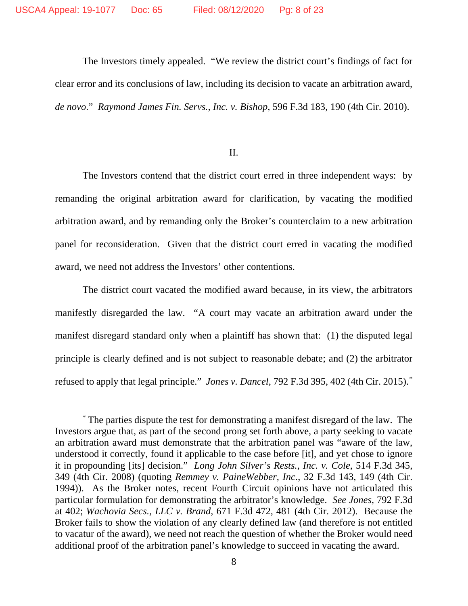The Investors timely appealed. "We review the district court's findings of fact for clear error and its conclusions of law, including its decision to vacate an arbitration award, *de novo*." *Raymond James Fin. Servs., Inc. v. Bishop*, 596 F.3d 183, 190 (4th Cir. 2010).

II.

The Investors contend that the district court erred in three independent ways: by remanding the original arbitration award for clarification, by vacating the modified arbitration award, and by remanding only the Broker's counterclaim to a new arbitration panel for reconsideration. Given that the district court erred in vacating the modified award, we need not address the Investors' other contentions.

The district court vacated the modified award because, in its view, the arbitrators manifestly disregarded the law. "A court may vacate an arbitration award under the manifest disregard standard only when a plaintiff has shown that: (1) the disputed legal principle is clearly defined and is not subject to reasonable debate; and (2) the arbitrator refused to apply that legal principle." *Jones v. Dancel*, 792 F.3d 395, 402 (4th Cir. 2015). \*

<sup>\*</sup> The parties dispute the test for demonstrating a manifest disregard of the law. The Investors argue that, as part of the second prong set forth above, a party seeking to vacate an arbitration award must demonstrate that the arbitration panel was "aware of the law, understood it correctly, found it applicable to the case before [it], and yet chose to ignore it in propounding [its] decision." *Long John Silver's Rests., Inc. v. Cole*, 514 F.3d 345, 349 (4th Cir. 2008) (quoting *Remmey v. PaineWebber, Inc.*, 32 F.3d 143, 149 (4th Cir. 1994)). As the Broker notes, recent Fourth Circuit opinions have not articulated this particular formulation for demonstrating the arbitrator's knowledge. *See Jones*, 792 F.3d at 402; *Wachovia Secs., LLC v. Brand*, 671 F.3d 472, 481 (4th Cir. 2012). Because the Broker fails to show the violation of any clearly defined law (and therefore is not entitled to vacatur of the award), we need not reach the question of whether the Broker would need additional proof of the arbitration panel's knowledge to succeed in vacating the award.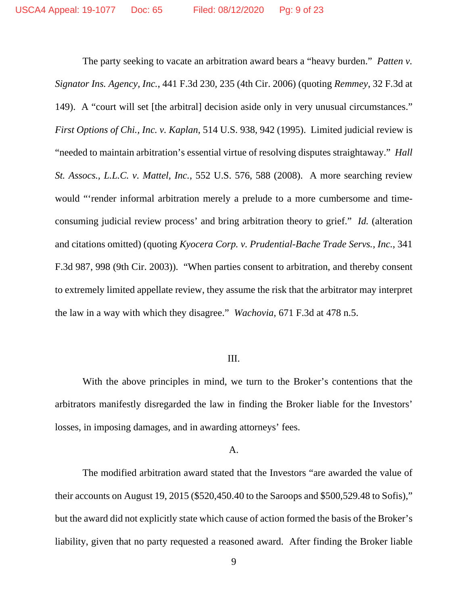The party seeking to vacate an arbitration award bears a "heavy burden." *Patten v. Signator Ins. Agency, Inc.*, 441 F.3d 230, 235 (4th Cir. 2006) (quoting *Remmey*, 32 F.3d at 149). A "court will set [the arbitral] decision aside only in very unusual circumstances." *First Options of Chi., Inc. v. Kaplan*, 514 U.S. 938, 942 (1995). Limited judicial review is "needed to maintain arbitration's essential virtue of resolving disputes straightaway." *Hall St. Assocs., L.L.C. v. Mattel, Inc.*, 552 U.S. 576, 588 (2008). A more searching review would "'render informal arbitration merely a prelude to a more cumbersome and timeconsuming judicial review process' and bring arbitration theory to grief." *Id.* (alteration and citations omitted) (quoting *Kyocera Corp. v. Prudential-Bache Trade Servs., Inc.*, 341 F.3d 987, 998 (9th Cir. 2003)). "When parties consent to arbitration, and thereby consent to extremely limited appellate review, they assume the risk that the arbitrator may interpret the law in a way with which they disagree." *Wachovia*, 671 F.3d at 478 n.5.

### III.

With the above principles in mind, we turn to the Broker's contentions that the arbitrators manifestly disregarded the law in finding the Broker liable for the Investors' losses, in imposing damages, and in awarding attorneys' fees.

## A.

The modified arbitration award stated that the Investors "are awarded the value of their accounts on August 19, 2015 (\$520,450.40 to the Saroops and \$500,529.48 to Sofis)," but the award did not explicitly state which cause of action formed the basis of the Broker's liability, given that no party requested a reasoned award. After finding the Broker liable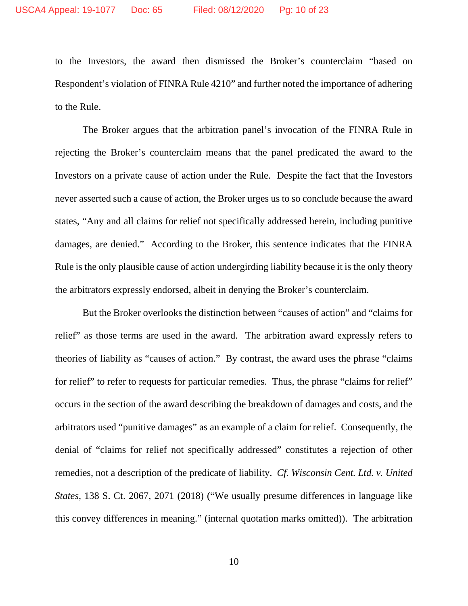to the Investors, the award then dismissed the Broker's counterclaim "based on Respondent's violation of FINRA Rule 4210" and further noted the importance of adhering to the Rule.

The Broker argues that the arbitration panel's invocation of the FINRA Rule in rejecting the Broker's counterclaim means that the panel predicated the award to the Investors on a private cause of action under the Rule. Despite the fact that the Investors never asserted such a cause of action, the Broker urges us to so conclude because the award states, "Any and all claims for relief not specifically addressed herein, including punitive damages, are denied." According to the Broker, this sentence indicates that the FINRA Rule is the only plausible cause of action undergirding liability because it is the only theory the arbitrators expressly endorsed, albeit in denying the Broker's counterclaim.

But the Broker overlooks the distinction between "causes of action" and "claims for relief" as those terms are used in the award. The arbitration award expressly refers to theories of liability as "causes of action." By contrast, the award uses the phrase "claims for relief" to refer to requests for particular remedies. Thus, the phrase "claims for relief" occurs in the section of the award describing the breakdown of damages and costs, and the arbitrators used "punitive damages" as an example of a claim for relief. Consequently, the denial of "claims for relief not specifically addressed" constitutes a rejection of other remedies, not a description of the predicate of liability. *Cf. Wisconsin Cent. Ltd. v. United States*, 138 S. Ct. 2067, 2071 (2018) ("We usually presume differences in language like this convey differences in meaning." (internal quotation marks omitted)). The arbitration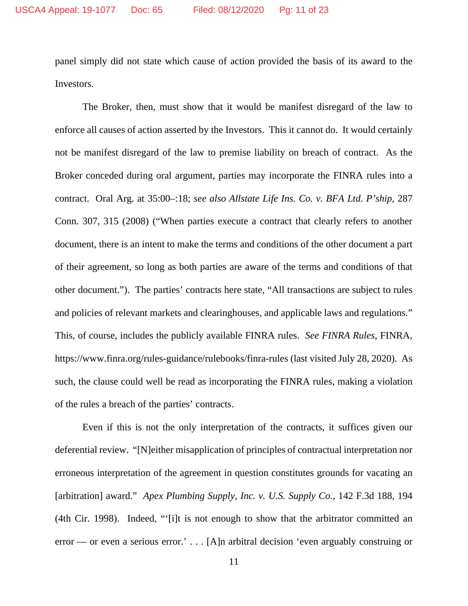panel simply did not state which cause of action provided the basis of its award to the Investors.

The Broker, then, must show that it would be manifest disregard of the law to enforce all causes of action asserted by the Investors. This it cannot do. It would certainly not be manifest disregard of the law to premise liability on breach of contract. As the Broker conceded during oral argument, parties may incorporate the FINRA rules into a contract. Oral Arg. at 35:00–:18; *see also Allstate Life Ins. Co. v. BFA Ltd. P'ship*, 287 Conn. 307, 315 (2008) ("When parties execute a contract that clearly refers to another document, there is an intent to make the terms and conditions of the other document a part of their agreement, so long as both parties are aware of the terms and conditions of that other document."). The parties' contracts here state, "All transactions are subject to rules and policies of relevant markets and clearinghouses, and applicable laws and regulations." This, of course, includes the publicly available FINRA rules. *See FINRA Rules*, FINRA, https://www.finra.org/rules-guidance/rulebooks/finra-rules (last visited July 28, 2020). As such, the clause could well be read as incorporating the FINRA rules, making a violation of the rules a breach of the parties' contracts.

Even if this is not the only interpretation of the contracts, it suffices given our deferential review. "[N]either misapplication of principles of contractual interpretation nor erroneous interpretation of the agreement in question constitutes grounds for vacating an [arbitration] award." *Apex Plumbing Supply, Inc. v. U.S. Supply Co.*, 142 F.3d 188, 194 (4th Cir. 1998). Indeed, "'[i]t is not enough to show that the arbitrator committed an error — or even a serious error.' . . . [A]n arbitral decision 'even arguably construing or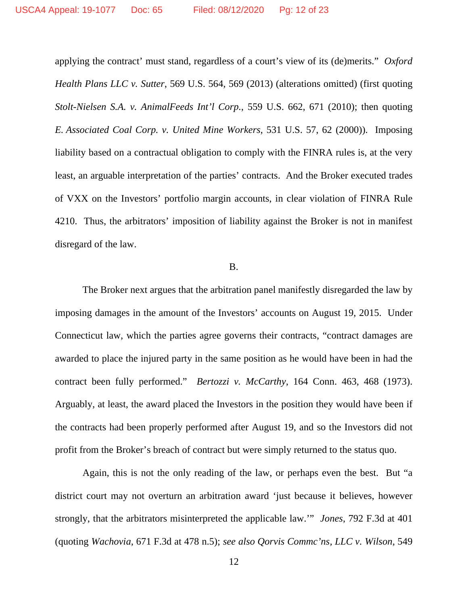applying the contract' must stand, regardless of a court's view of its (de)merits." *Oxford Health Plans LLC v. Sutter*, 569 U.S. 564, 569 (2013) (alterations omitted) (first quoting *Stolt-Nielsen S.A. v. AnimalFeeds Int'l Corp.*, 559 U.S. 662, 671 (2010); then quoting *E. Associated Coal Corp. v. United Mine Workers*, 531 U.S. 57, 62 (2000)). Imposing liability based on a contractual obligation to comply with the FINRA rules is, at the very least, an arguable interpretation of the parties' contracts. And the Broker executed trades of VXX on the Investors' portfolio margin accounts, in clear violation of FINRA Rule 4210. Thus, the arbitrators' imposition of liability against the Broker is not in manifest disregard of the law.

#### B.

The Broker next argues that the arbitration panel manifestly disregarded the law by imposing damages in the amount of the Investors' accounts on August 19, 2015. Under Connecticut law, which the parties agree governs their contracts, "contract damages are awarded to place the injured party in the same position as he would have been in had the contract been fully performed." *Bertozzi v. McCarthy*, 164 Conn. 463, 468 (1973). Arguably, at least, the award placed the Investors in the position they would have been if the contracts had been properly performed after August 19, and so the Investors did not profit from the Broker's breach of contract but were simply returned to the status quo.

Again, this is not the only reading of the law, or perhaps even the best. But "a district court may not overturn an arbitration award 'just because it believes, however strongly, that the arbitrators misinterpreted the applicable law.'" *Jones*, 792 F.3d at 401 (quoting *Wachovia*, 671 F.3d at 478 n.5); *see also Qorvis Commc'ns, LLC v. Wilson*, 549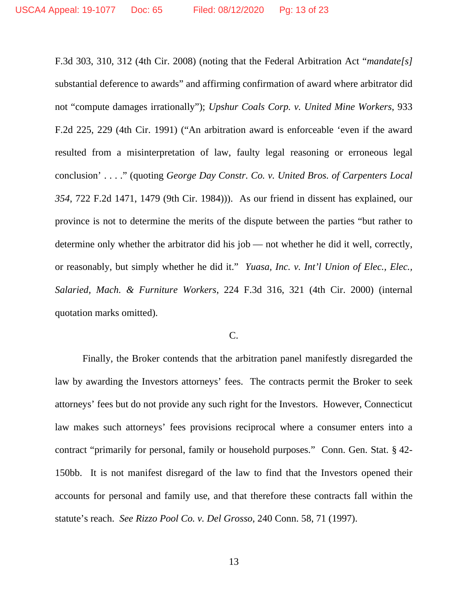F.3d 303, 310, 312 (4th Cir. 2008) (noting that the Federal Arbitration Act "*mandate[s]* substantial deference to awards" and affirming confirmation of award where arbitrator did not "compute damages irrationally"); *Upshur Coals Corp. v. United Mine Workers*, 933 F.2d 225, 229 (4th Cir. 1991) ("An arbitration award is enforceable 'even if the award resulted from a misinterpretation of law, faulty legal reasoning or erroneous legal conclusion' . . . ." (quoting *George Day Constr. Co. v. United Bros. of Carpenters Local 354*, 722 F.2d 1471, 1479 (9th Cir. 1984))). As our friend in dissent has explained, our province is not to determine the merits of the dispute between the parties "but rather to determine only whether the arbitrator did his job — not whether he did it well, correctly, or reasonably, but simply whether he did it." *Yuasa, Inc. v. Int'l Union of Elec., Elec., Salaried, Mach. & Furniture Workers*, 224 F.3d 316, 321 (4th Cir. 2000) (internal quotation marks omitted).

### C.

Finally, the Broker contends that the arbitration panel manifestly disregarded the law by awarding the Investors attorneys' fees. The contracts permit the Broker to seek attorneys' fees but do not provide any such right for the Investors. However, Connecticut law makes such attorneys' fees provisions reciprocal where a consumer enters into a contract "primarily for personal, family or household purposes." Conn. Gen. Stat. § 42- 150bb. It is not manifest disregard of the law to find that the Investors opened their accounts for personal and family use, and that therefore these contracts fall within the statute's reach. *See Rizzo Pool Co. v. Del Grosso*, 240 Conn. 58, 71 (1997).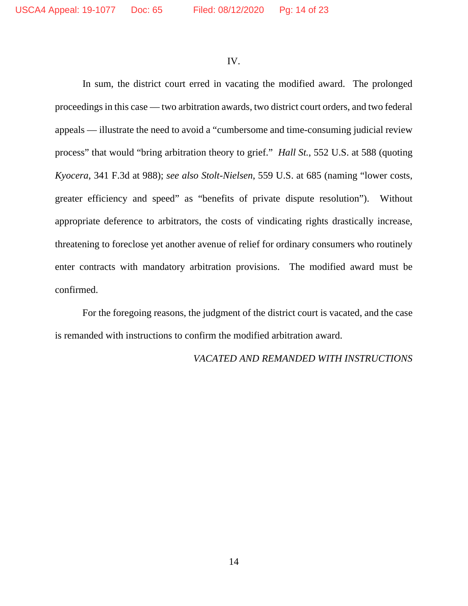IV.

In sum, the district court erred in vacating the modified award. The prolonged proceedings in this case — two arbitration awards, two district court orders, and two federal appeals — illustrate the need to avoid a "cumbersome and time-consuming judicial review process" that would "bring arbitration theory to grief." *Hall St.*, 552 U.S. at 588 (quoting *Kyocera*, 341 F.3d at 988); *see also Stolt-Nielsen*, 559 U.S. at 685 (naming "lower costs, greater efficiency and speed" as "benefits of private dispute resolution"). Without appropriate deference to arbitrators, the costs of vindicating rights drastically increase, threatening to foreclose yet another avenue of relief for ordinary consumers who routinely enter contracts with mandatory arbitration provisions. The modified award must be confirmed.

For the foregoing reasons, the judgment of the district court is vacated, and the case is remanded with instructions to confirm the modified arbitration award.

### *VACATED AND REMANDED WITH INSTRUCTIONS*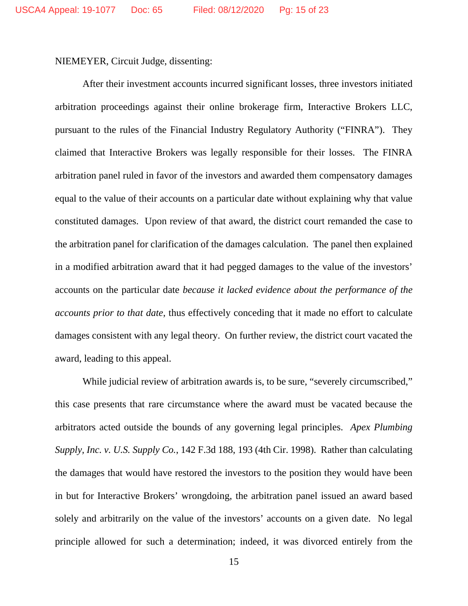NIEMEYER, Circuit Judge, dissenting:

After their investment accounts incurred significant losses, three investors initiated arbitration proceedings against their online brokerage firm, Interactive Brokers LLC, pursuant to the rules of the Financial Industry Regulatory Authority ("FINRA"). They claimed that Interactive Brokers was legally responsible for their losses. The FINRA arbitration panel ruled in favor of the investors and awarded them compensatory damages equal to the value of their accounts on a particular date without explaining why that value constituted damages. Upon review of that award, the district court remanded the case to the arbitration panel for clarification of the damages calculation. The panel then explained in a modified arbitration award that it had pegged damages to the value of the investors' accounts on the particular date *because it lacked evidence about the performance of the accounts prior to that date*, thus effectively conceding that it made no effort to calculate damages consistent with any legal theory. On further review, the district court vacated the award, leading to this appeal.

While judicial review of arbitration awards is, to be sure, "severely circumscribed," this case presents that rare circumstance where the award must be vacated because the arbitrators acted outside the bounds of any governing legal principles. *Apex Plumbing Supply, Inc. v. U.S. Supply Co.*, 142 F.3d 188, 193 (4th Cir. 1998). Rather than calculating the damages that would have restored the investors to the position they would have been in but for Interactive Brokers' wrongdoing, the arbitration panel issued an award based solely and arbitrarily on the value of the investors' accounts on a given date. No legal principle allowed for such a determination; indeed, it was divorced entirely from the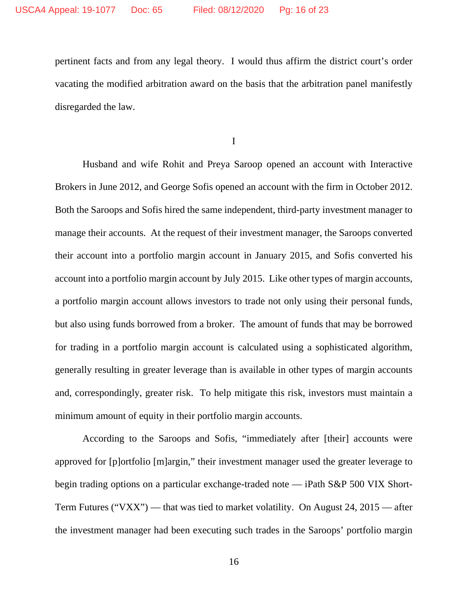pertinent facts and from any legal theory. I would thus affirm the district court's order vacating the modified arbitration award on the basis that the arbitration panel manifestly disregarded the law.

I

Husband and wife Rohit and Preya Saroop opened an account with Interactive Brokers in June 2012, and George Sofis opened an account with the firm in October 2012. Both the Saroops and Sofis hired the same independent, third-party investment manager to manage their accounts. At the request of their investment manager, the Saroops converted their account into a portfolio margin account in January 2015, and Sofis converted his account into a portfolio margin account by July 2015. Like other types of margin accounts, a portfolio margin account allows investors to trade not only using their personal funds, but also using funds borrowed from a broker. The amount of funds that may be borrowed for trading in a portfolio margin account is calculated using a sophisticated algorithm, generally resulting in greater leverage than is available in other types of margin accounts and, correspondingly, greater risk. To help mitigate this risk, investors must maintain a minimum amount of equity in their portfolio margin accounts.

According to the Saroops and Sofis, "immediately after [their] accounts were approved for [p]ortfolio [m]argin," their investment manager used the greater leverage to begin trading options on a particular exchange-traded note — iPath S&P 500 VIX Short-Term Futures ("VXX") — that was tied to market volatility. On August 24, 2015 — after the investment manager had been executing such trades in the Saroops' portfolio margin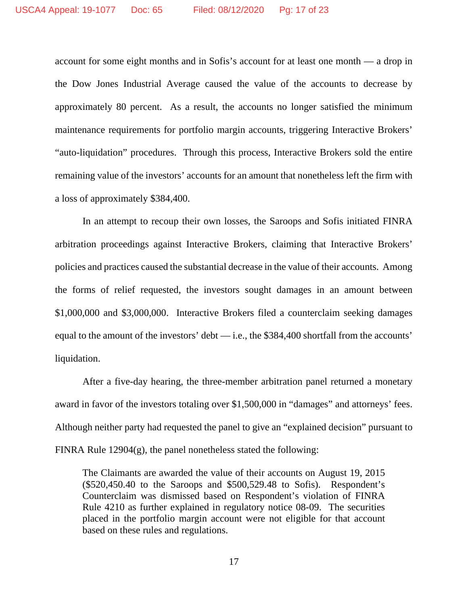account for some eight months and in Sofis's account for at least one month — a drop in the Dow Jones Industrial Average caused the value of the accounts to decrease by approximately 80 percent. As a result, the accounts no longer satisfied the minimum maintenance requirements for portfolio margin accounts, triggering Interactive Brokers' "auto-liquidation" procedures. Through this process, Interactive Brokers sold the entire remaining value of the investors' accounts for an amount that nonetheless left the firm with a loss of approximately \$384,400.

In an attempt to recoup their own losses, the Saroops and Sofis initiated FINRA arbitration proceedings against Interactive Brokers, claiming that Interactive Brokers' policies and practices caused the substantial decrease in the value of their accounts. Among the forms of relief requested, the investors sought damages in an amount between \$1,000,000 and \$3,000,000. Interactive Brokers filed a counterclaim seeking damages equal to the amount of the investors' debt — i.e., the \$384,400 shortfall from the accounts' liquidation.

After a five-day hearing, the three-member arbitration panel returned a monetary award in favor of the investors totaling over \$1,500,000 in "damages" and attorneys' fees. Although neither party had requested the panel to give an "explained decision" pursuant to FINRA Rule 12904(g), the panel nonetheless stated the following:

The Claimants are awarded the value of their accounts on August 19, 2015 (\$520,450.40 to the Saroops and \$500,529.48 to Sofis). Respondent's Counterclaim was dismissed based on Respondent's violation of FINRA Rule 4210 as further explained in regulatory notice 08-09. The securities placed in the portfolio margin account were not eligible for that account based on these rules and regulations.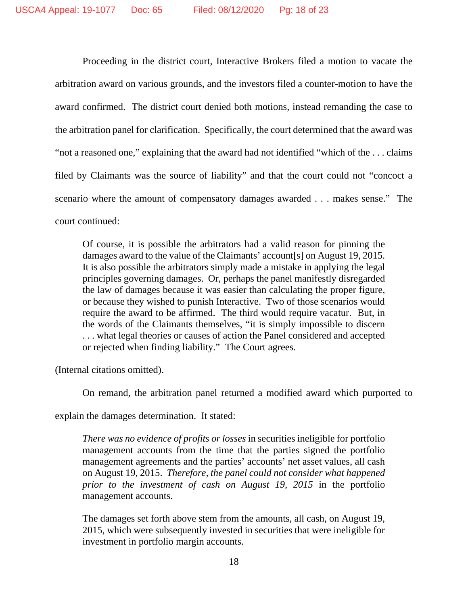Proceeding in the district court, Interactive Brokers filed a motion to vacate the arbitration award on various grounds, and the investors filed a counter-motion to have the award confirmed. The district court denied both motions, instead remanding the case to the arbitration panel for clarification. Specifically, the court determined that the award was "not a reasoned one," explaining that the award had not identified "which of the . . . claims filed by Claimants was the source of liability" and that the court could not "concoct a scenario where the amount of compensatory damages awarded . . . makes sense." The court continued:

Of course, it is possible the arbitrators had a valid reason for pinning the damages award to the value of the Claimants' account[s] on August 19, 2015. It is also possible the arbitrators simply made a mistake in applying the legal principles governing damages. Or, perhaps the panel manifestly disregarded the law of damages because it was easier than calculating the proper figure, or because they wished to punish Interactive. Two of those scenarios would require the award to be affirmed. The third would require vacatur. But, in the words of the Claimants themselves, "it is simply impossible to discern . . . what legal theories or causes of action the Panel considered and accepted or rejected when finding liability." The Court agrees.

(Internal citations omitted).

On remand, the arbitration panel returned a modified award which purported to

explain the damages determination. It stated:

*There was no evidence of profits or losses* in securities ineligible for portfolio management accounts from the time that the parties signed the portfolio management agreements and the parties' accounts' net asset values, all cash on August 19, 2015. *Therefore, the panel could not consider what happened prior to the investment of cash on August 19, 2015* in the portfolio management accounts.

The damages set forth above stem from the amounts, all cash, on August 19, 2015, which were subsequently invested in securities that were ineligible for investment in portfolio margin accounts.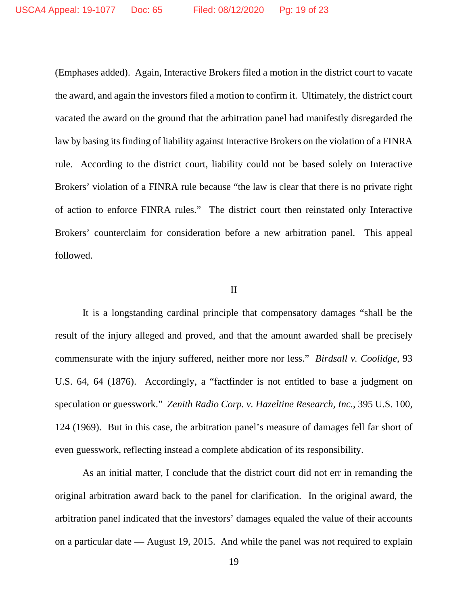(Emphases added). Again, Interactive Brokers filed a motion in the district court to vacate the award, and again the investors filed a motion to confirm it. Ultimately, the district court vacated the award on the ground that the arbitration panel had manifestly disregarded the law by basing its finding of liability against Interactive Brokers on the violation of a FINRA rule. According to the district court, liability could not be based solely on Interactive Brokers' violation of a FINRA rule because "the law is clear that there is no private right of action to enforce FINRA rules." The district court then reinstated only Interactive Brokers' counterclaim for consideration before a new arbitration panel. This appeal followed.

#### II

It is a longstanding cardinal principle that compensatory damages "shall be the result of the injury alleged and proved, and that the amount awarded shall be precisely commensurate with the injury suffered, neither more nor less." *Birdsall v. Coolidge*, 93 U.S. 64, 64 (1876). Accordingly, a "factfinder is not entitled to base a judgment on speculation or guesswork." *Zenith Radio Corp. v. Hazeltine Research, Inc.*, 395 U.S. 100, 124 (1969). But in this case, the arbitration panel's measure of damages fell far short of even guesswork, reflecting instead a complete abdication of its responsibility.

As an initial matter, I conclude that the district court did not err in remanding the original arbitration award back to the panel for clarification. In the original award, the arbitration panel indicated that the investors' damages equaled the value of their accounts on a particular date — August 19, 2015. And while the panel was not required to explain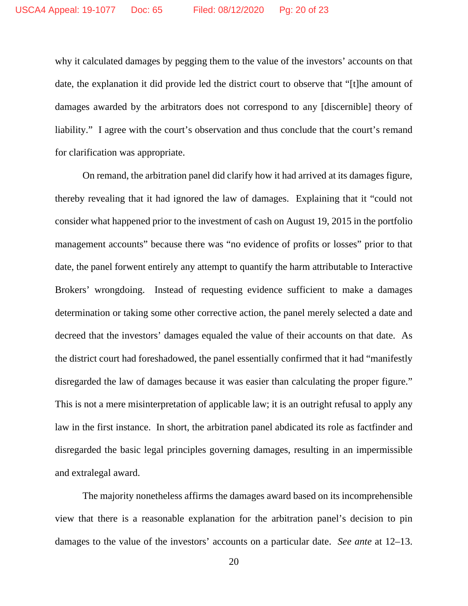why it calculated damages by pegging them to the value of the investors' accounts on that date, the explanation it did provide led the district court to observe that "[t]he amount of damages awarded by the arbitrators does not correspond to any [discernible] theory of liability." I agree with the court's observation and thus conclude that the court's remand for clarification was appropriate.

On remand, the arbitration panel did clarify how it had arrived at its damages figure, thereby revealing that it had ignored the law of damages. Explaining that it "could not consider what happened prior to the investment of cash on August 19, 2015 in the portfolio management accounts" because there was "no evidence of profits or losses" prior to that date, the panel forwent entirely any attempt to quantify the harm attributable to Interactive Brokers' wrongdoing. Instead of requesting evidence sufficient to make a damages determination or taking some other corrective action, the panel merely selected a date and decreed that the investors' damages equaled the value of their accounts on that date. As the district court had foreshadowed, the panel essentially confirmed that it had "manifestly disregarded the law of damages because it was easier than calculating the proper figure." This is not a mere misinterpretation of applicable law; it is an outright refusal to apply any law in the first instance. In short, the arbitration panel abdicated its role as factfinder and disregarded the basic legal principles governing damages, resulting in an impermissible and extralegal award.

The majority nonetheless affirms the damages award based on its incomprehensible view that there is a reasonable explanation for the arbitration panel's decision to pin damages to the value of the investors' accounts on a particular date. *See ante* at 12–13.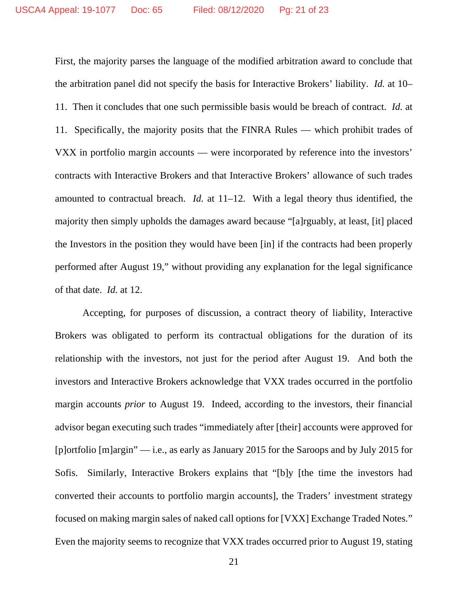First, the majority parses the language of the modified arbitration award to conclude that the arbitration panel did not specify the basis for Interactive Brokers' liability. *Id.* at 10– 11. Then it concludes that one such permissible basis would be breach of contract. *Id.* at 11. Specifically, the majority posits that the FINRA Rules — which prohibit trades of VXX in portfolio margin accounts — were incorporated by reference into the investors' contracts with Interactive Brokers and that Interactive Brokers' allowance of such trades amounted to contractual breach. *Id.* at 11–12. With a legal theory thus identified, the majority then simply upholds the damages award because "[a]rguably, at least, [it] placed the Investors in the position they would have been [in] if the contracts had been properly performed after August 19," without providing any explanation for the legal significance of that date. *Id.* at 12.

Accepting, for purposes of discussion, a contract theory of liability, Interactive Brokers was obligated to perform its contractual obligations for the duration of its relationship with the investors, not just for the period after August 19. And both the investors and Interactive Brokers acknowledge that VXX trades occurred in the portfolio margin accounts *prior* to August 19. Indeed, according to the investors, their financial advisor began executing such trades "immediately after [their] accounts were approved for [p]ortfolio [m]argin" — i.e., as early as January 2015 for the Saroops and by July 2015 for Sofis. Similarly, Interactive Brokers explains that "[b]y [the time the investors had converted their accounts to portfolio margin accounts], the Traders' investment strategy focused on making margin sales of naked call options for [VXX] Exchange Traded Notes." Even the majority seems to recognize that VXX trades occurred prior to August 19, stating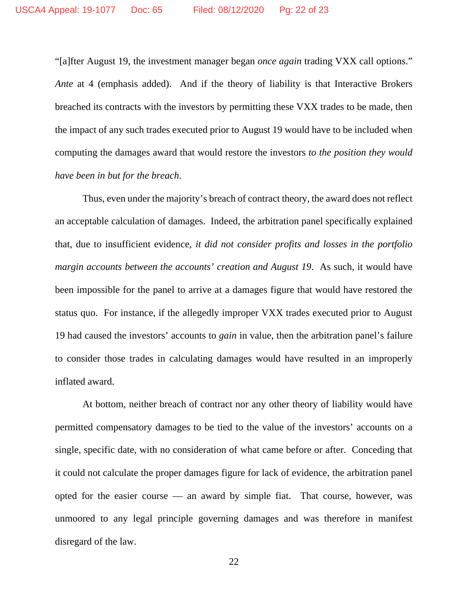"[a]fter August 19, the investment manager began *once again* trading VXX call options." *Ante* at 4 (emphasis added). And if the theory of liability is that Interactive Brokers breached its contracts with the investors by permitting these VXX trades to be made, then the impact of any such trades executed prior to August 19 would have to be included when computing the damages award that would restore the investors *to the position they would have been in but for the breach*.

Thus, even under the majority's breach of contract theory, the award does not reflect an acceptable calculation of damages. Indeed, the arbitration panel specifically explained that, due to insufficient evidence, *it did not consider profits and losses in the portfolio margin accounts between the accounts' creation and August 19*. As such, it would have been impossible for the panel to arrive at a damages figure that would have restored the status quo. For instance, if the allegedly improper VXX trades executed prior to August 19 had caused the investors' accounts to *gain* in value, then the arbitration panel's failure to consider those trades in calculating damages would have resulted in an improperly inflated award.

At bottom, neither breach of contract nor any other theory of liability would have permitted compensatory damages to be tied to the value of the investors' accounts on a single, specific date, with no consideration of what came before or after. Conceding that it could not calculate the proper damages figure for lack of evidence, the arbitration panel opted for the easier course — an award by simple fiat. That course, however, was unmoored to any legal principle governing damages and was therefore in manifest disregard of the law.

22